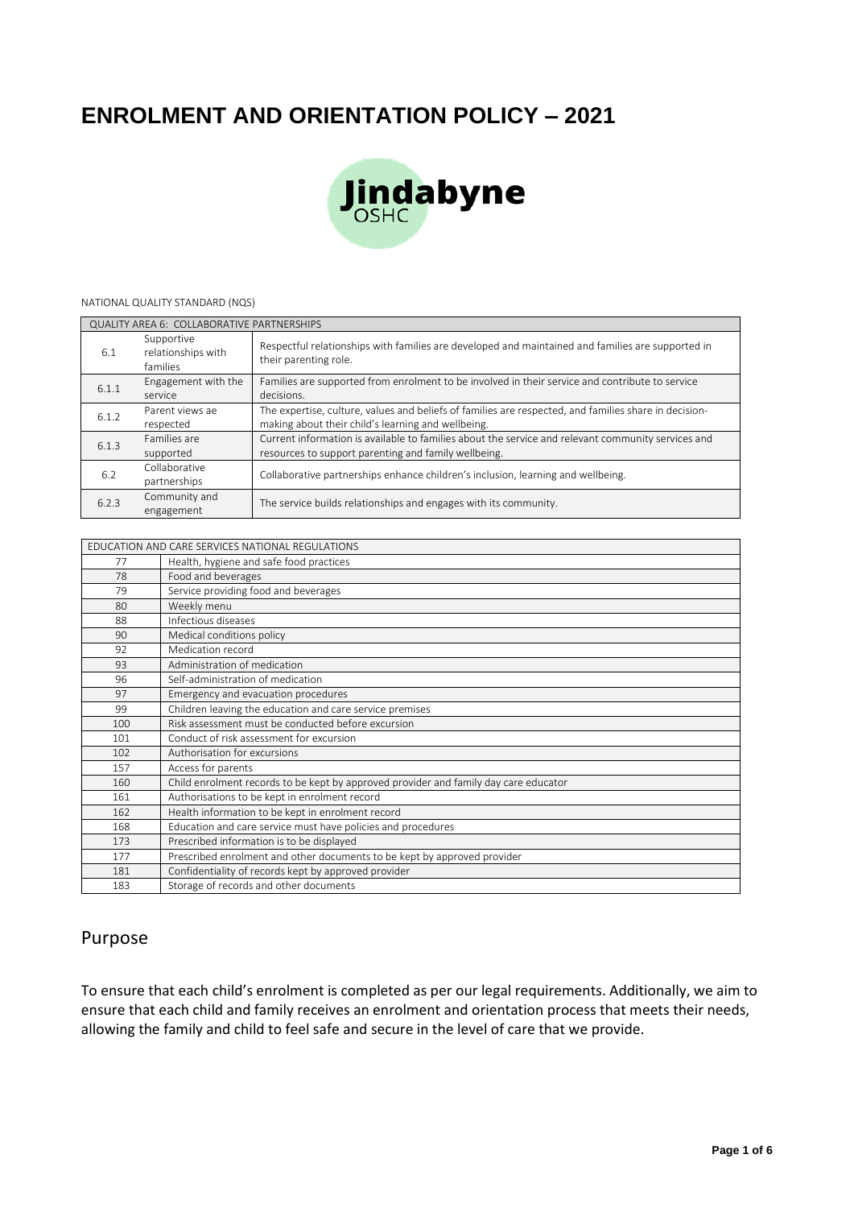# **ENROLMENT AND ORIENTATION POLICY – 2021**



#### NATIONAL QUALITY STANDARD (NQS)

| QUALITY AREA 6: COLLABORATIVE PARTNERSHIPS |                                              |                                                                                                                                                             |  |  |
|--------------------------------------------|----------------------------------------------|-------------------------------------------------------------------------------------------------------------------------------------------------------------|--|--|
| 6.1                                        | Supportive<br>relationships with<br>families | Respectful relationships with families are developed and maintained and families are supported in<br>their parenting role.                                  |  |  |
| 6.1.1                                      | Engagement with the<br>service               | Families are supported from enrolment to be involved in their service and contribute to service<br>decisions.                                               |  |  |
| 6.1.2                                      | Parent views ae<br>respected                 | The expertise, culture, values and beliefs of families are respected, and families share in decision-<br>making about their child's learning and wellbeing. |  |  |
| 6.1.3                                      | Families are<br>supported                    | Current information is available to families about the service and relevant community services and<br>resources to support parenting and family wellbeing.  |  |  |
| 6.2                                        | Collaborative<br>partnerships                | Collaborative partnerships enhance children's inclusion, learning and wellbeing.                                                                            |  |  |
| 6.2.3                                      | Community and<br>engagement                  | The service builds relationships and engages with its community.                                                                                            |  |  |

#### EDUCATION AND CARE SERVICES NATIONAL REGULATIONS

|     | LDOCATION AND CANE SENVICES NATIONAL NEQUEATIONS                                     |
|-----|--------------------------------------------------------------------------------------|
| 77  | Health, hygiene and safe food practices                                              |
| 78  | Food and beverages                                                                   |
| 79  | Service providing food and beverages                                                 |
| 80  | Weekly menu                                                                          |
| 88  | Infectious diseases                                                                  |
| 90  | Medical conditions policy                                                            |
| 92  | Medication record                                                                    |
| 93  | Administration of medication                                                         |
| 96  | Self-administration of medication                                                    |
| 97  | Emergency and evacuation procedures                                                  |
| 99  | Children leaving the education and care service premises                             |
| 100 | Risk assessment must be conducted before excursion                                   |
| 101 | Conduct of risk assessment for excursion                                             |
| 102 | Authorisation for excursions                                                         |
| 157 | Access for parents                                                                   |
| 160 | Child enrolment records to be kept by approved provider and family day care educator |
| 161 | Authorisations to be kept in enrolment record                                        |
| 162 | Health information to be kept in enrolment record                                    |
| 168 | Education and care service must have policies and procedures                         |
| 173 | Prescribed information is to be displayed                                            |
| 177 | Prescribed enrolment and other documents to be kept by approved provider             |
| 181 | Confidentiality of records kept by approved provider                                 |
| 183 | Storage of records and other documents                                               |

### Purpose

To ensure that each child's enrolment is completed as per our legal requirements. Additionally, we aim to ensure that each child and family receives an enrolment and orientation process that meets their needs, allowing the family and child to feel safe and secure in the level of care that we provide.

 $\overline{\phantom{a}}$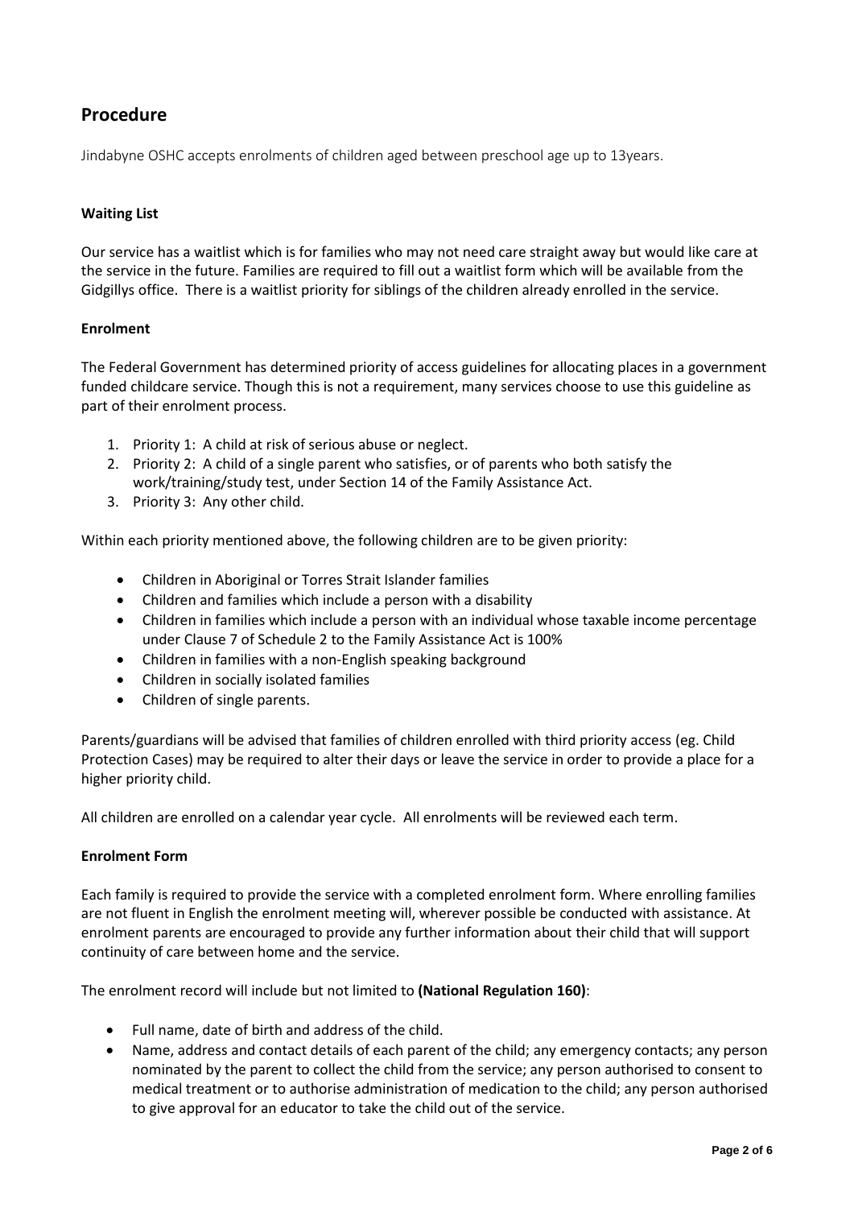## **Procedure**

Jindabyne OSHC accepts enrolments of children aged between preschool age up to 13years.

#### **Waiting List**

Our service has a waitlist which is for families who may not need care straight away but would like care at the service in the future. Families are required to fill out a waitlist form which will be available from the Gidgillys office. There is a waitlist priority for siblings of the children already enrolled in the service.

#### **Enrolment**

The Federal Government has determined priority of access guidelines for allocating places in a government funded childcare service. Though this is not a requirement, many services choose to use this guideline as part of their enrolment process.

- 1. Priority 1: A child at risk of serious abuse or neglect.
- 2. Priority 2: A child of a single parent who satisfies, or of parents who both satisfy the work/training/study test, under Section 14 of the Family Assistance Act.
- 3. Priority 3: Any other child.

Within each priority mentioned above, the following children are to be given priority:

- Children in Aboriginal or Torres Strait Islander families
- Children and families which include a person with a disability
- Children in families which include a person with an individual whose taxable income percentage under Clause 7 of Schedule 2 to the Family Assistance Act is 100%
- Children in families with a non-English speaking background
- Children in socially isolated families
- Children of single parents.

Parents/guardians will be advised that families of children enrolled with third priority access (eg. Child Protection Cases) may be required to alter their days or leave the service in order to provide a place for a higher priority child.

All children are enrolled on a calendar year cycle. All enrolments will be reviewed each term.

#### **Enrolment Form**

Each family is required to provide the service with a completed enrolment form. Where enrolling families are not fluent in English the enrolment meeting will, wherever possible be conducted with assistance. At enrolment parents are encouraged to provide any further information about their child that will support continuity of care between home and the service.

The enrolment record will include but not limited to **(National Regulation 160)**:

- Full name, date of birth and address of the child.
- Name, address and contact details of each parent of the child; any emergency contacts; any person nominated by the parent to collect the child from the service; any person authorised to consent to medical treatment or to authorise administration of medication to the child; any person authorised to give approval for an educator to take the child out of the service.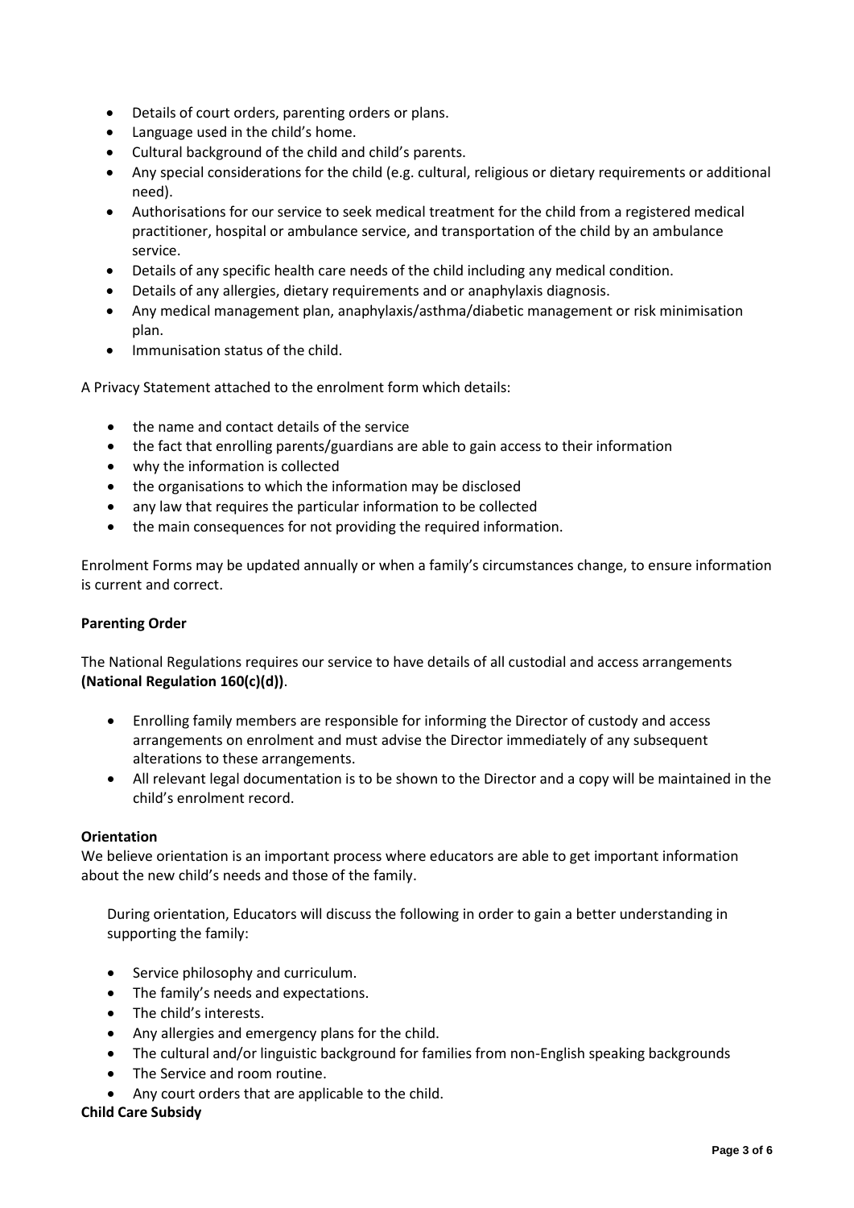- Details of court orders, parenting orders or plans.
- Language used in the child's home.
- Cultural background of the child and child's parents.
- Any special considerations for the child (e.g. cultural, religious or dietary requirements or additional need).
- Authorisations for our service to seek medical treatment for the child from a registered medical practitioner, hospital or ambulance service, and transportation of the child by an ambulance service.
- Details of any specific health care needs of the child including any medical condition.
- Details of any allergies, dietary requirements and or anaphylaxis diagnosis.
- Any medical management plan, anaphylaxis/asthma/diabetic management or risk minimisation plan.
- Immunisation status of the child.

A Privacy Statement attached to the enrolment form which details:

- the name and contact details of the service
- the fact that enrolling parents/guardians are able to gain access to their information
- why the information is collected
- the organisations to which the information may be disclosed
- any law that requires the particular information to be collected
- the main consequences for not providing the required information.

Enrolment Forms may be updated annually or when a family's circumstances change, to ensure information is current and correct.

#### **Parenting Order**

The National Regulations requires our service to have details of all custodial and access arrangements **(National Regulation 160(c)(d))**.

- Enrolling family members are responsible for informing the Director of custody and access arrangements on enrolment and must advise the Director immediately of any subsequent alterations to these arrangements.
- All relevant legal documentation is to be shown to the Director and a copy will be maintained in the child's enrolment record.

#### **Orientation**

We believe orientation is an important process where educators are able to get important information about the new child's needs and those of the family.

During orientation, Educators will discuss the following in order to gain a better understanding in supporting the family:

- Service philosophy and curriculum.
- The family's needs and expectations.
- The child's interests.
- Any allergies and emergency plans for the child.
- The cultural and/or linguistic background for families from non-English speaking backgrounds
- The Service and room routine.
- Any court orders that are applicable to the child.

#### **Child Care Subsidy**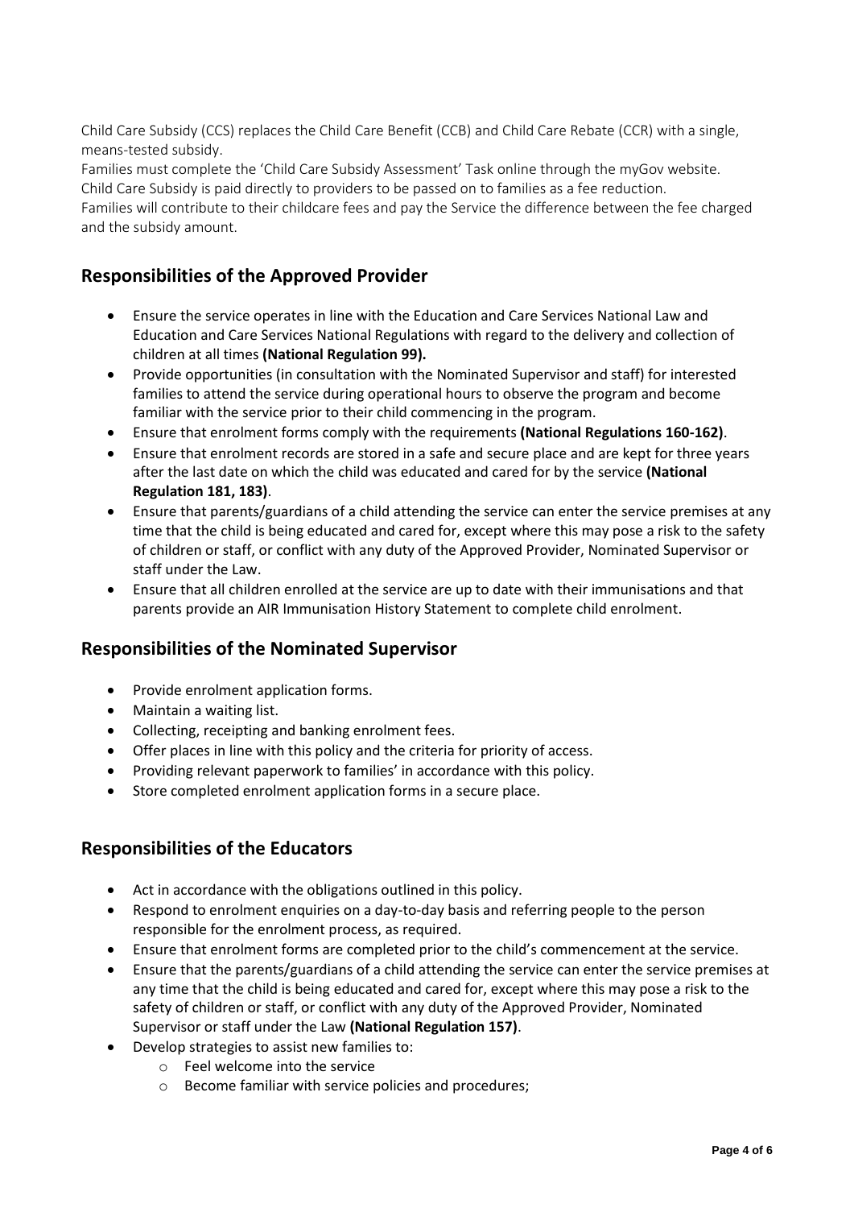Child Care Subsidy (CCS) replaces the Child Care Benefit (CCB) and Child Care Rebate (CCR) with a single, means-tested subsidy.

Families must complete the 'Child Care Subsidy Assessment' Task online through the myGov website. Child Care Subsidy is paid directly to providers to be passed on to families as a fee reduction.

Families will contribute to their childcare fees and pay the Service the difference between the fee charged and the subsidy amount.

### **Responsibilities of the Approved Provider**

- Ensure the service operates in line with the Education and Care Services National Law and Education and Care Services National Regulations with regard to the delivery and collection of children at all times **(National Regulation 99).**
- Provide opportunities (in consultation with the Nominated Supervisor and staff) for interested families to attend the service during operational hours to observe the program and become familiar with the service prior to their child commencing in the program.
- Ensure that enrolment forms comply with the requirements **(National Regulations 160-162)**.
- Ensure that enrolment records are stored in a safe and secure place and are kept for three years after the last date on which the child was educated and cared for by the service **(National Regulation 181, 183)**.
- Ensure that parents/guardians of a child attending the service can enter the service premises at any time that the child is being educated and cared for, except where this may pose a risk to the safety of children or staff, or conflict with any duty of the Approved Provider, Nominated Supervisor or staff under the Law.
- Ensure that all children enrolled at the service are up to date with their immunisations and that parents provide an AIR Immunisation History Statement to complete child enrolment.

### **Responsibilities of the Nominated Supervisor**

- Provide enrolment application forms.
- Maintain a waiting list.
- Collecting, receipting and banking enrolment fees.
- Offer places in line with this policy and the criteria for priority of access.
- Providing relevant paperwork to families' in accordance with this policy.
- Store completed enrolment application forms in a secure place.

### **Responsibilities of the Educators**

- Act in accordance with the obligations outlined in this policy.
- Respond to enrolment enquiries on a day-to-day basis and referring people to the person responsible for the enrolment process, as required.
- Ensure that enrolment forms are completed prior to the child's commencement at the service.
- Ensure that the parents/guardians of a child attending the service can enter the service premises at any time that the child is being educated and cared for, except where this may pose a risk to the safety of children or staff, or conflict with any duty of the Approved Provider, Nominated Supervisor or staff under the Law **(National Regulation 157)**.
- Develop strategies to assist new families to:
	- o Feel welcome into the service
	- o Become familiar with service policies and procedures;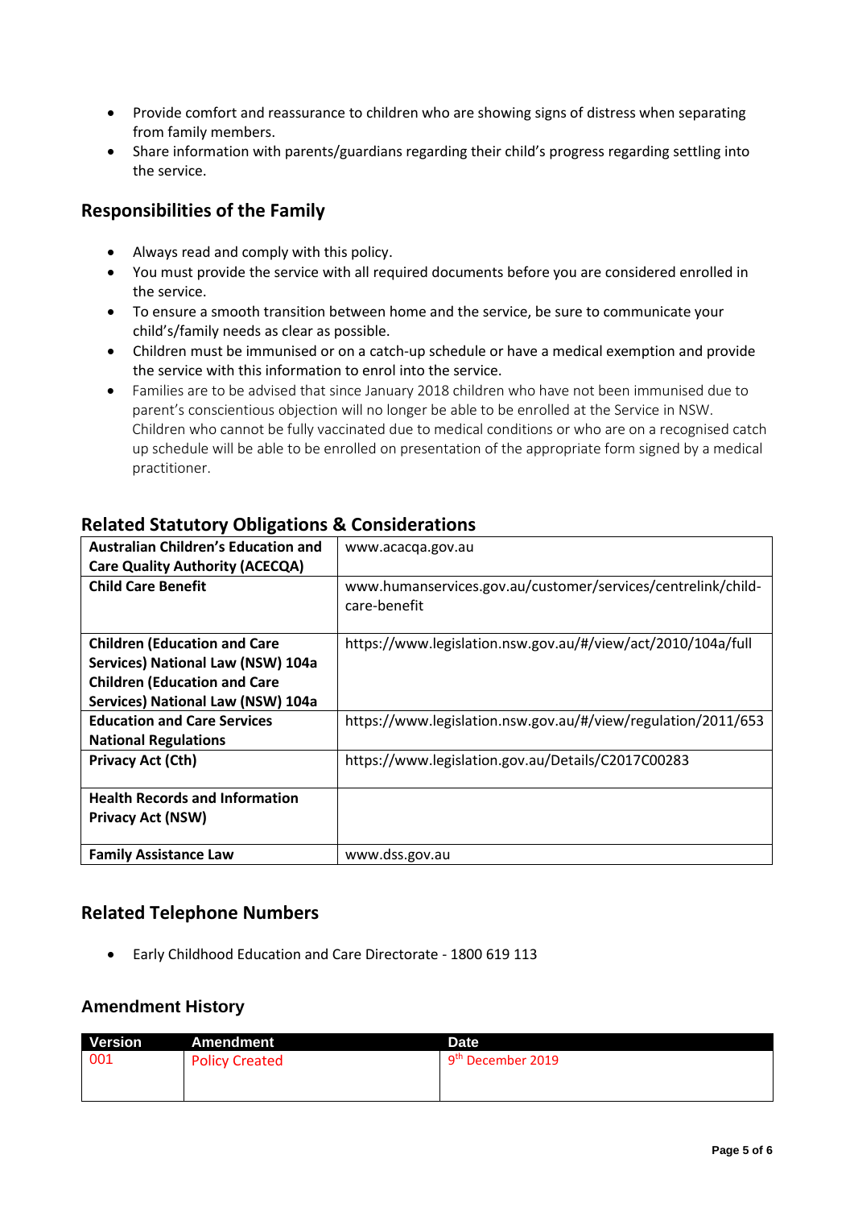- Provide comfort and reassurance to children who are showing signs of distress when separating from family members.
- Share information with parents/guardians regarding their child's progress regarding settling into the service.

### **Responsibilities of the Family**

- Always read and comply with this policy.
- You must provide the service with all required documents before you are considered enrolled in the service.
- To ensure a smooth transition between home and the service, be sure to communicate your child's/family needs as clear as possible.
- Children must be immunised or on a catch-up schedule or have a medical exemption and provide the service with this information to enrol into the service.
- Families are to be advised that since January 2018 children who have not been immunised due to parent's conscientious objection will no longer be able to be enrolled at the Service in NSW. Children who cannot be fully vaccinated due to medical conditions or who are on a recognised catch up schedule will be able to be enrolled on presentation of the appropriate form signed by a medical practitioner.

| <b>Australian Children's Education and</b> | www.acacqa.gov.au                                                            |  |
|--------------------------------------------|------------------------------------------------------------------------------|--|
| <b>Care Quality Authority (ACECQA)</b>     |                                                                              |  |
| <b>Child Care Benefit</b>                  | www.humanservices.gov.au/customer/services/centrelink/child-<br>care-benefit |  |
| <b>Children (Education and Care</b>        | https://www.legislation.nsw.gov.au/#/view/act/2010/104a/full                 |  |
| Services) National Law (NSW) 104a          |                                                                              |  |
| <b>Children (Education and Care</b>        |                                                                              |  |
| Services) National Law (NSW) 104a          |                                                                              |  |
| <b>Education and Care Services</b>         | https://www.legislation.nsw.gov.au/#/view/regulation/2011/653                |  |
| <b>National Regulations</b>                |                                                                              |  |
| <b>Privacy Act (Cth)</b>                   | https://www.legislation.gov.au/Details/C2017C00283                           |  |
| <b>Health Records and Information</b>      |                                                                              |  |
| <b>Privacy Act (NSW)</b>                   |                                                                              |  |
|                                            |                                                                              |  |
| <b>Family Assistance Law</b>               | www.dss.gov.au                                                               |  |

### **Related Statutory Obligations & Considerations**

### **Related Telephone Numbers**

• Early Childhood Education and Care Directorate - 1800 619 113

### **Amendment History**

| <b>Version</b> | <b>Amendment</b>      | Date                          |  |
|----------------|-----------------------|-------------------------------|--|
| 001            | <b>Policy Created</b> | 9 <sup>th</sup> December 2019 |  |
|                |                       |                               |  |